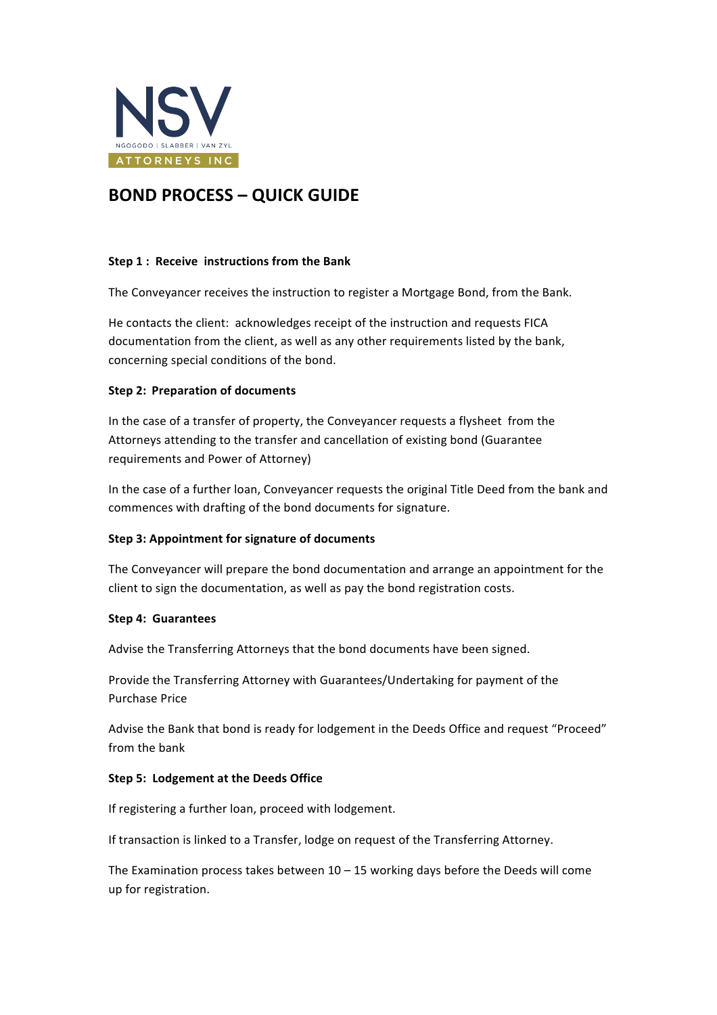

# **BOND PROCESS – QUICK GUIDE**

## **Step 1: Receive instructions from the Bank**

The Conveyancer receives the instruction to register a Mortgage Bond, from the Bank.

He contacts the client: acknowledges receipt of the instruction and requests FICA documentation from the client, as well as any other requirements listed by the bank, concerning special conditions of the bond.

# **Step 2: Preparation of documents**

In the case of a transfer of property, the Conveyancer requests a flysheet from the Attorneys attending to the transfer and cancellation of existing bond (Guarantee requirements and Power of Attorney)

In the case of a further loan, Conveyancer requests the original Title Deed from the bank and commences with drafting of the bond documents for signature.

## **Step 3: Appointment for signature of documents**

The Conveyancer will prepare the bond documentation and arrange an appointment for the client to sign the documentation, as well as pay the bond registration costs.

## **Step 4: Guarantees**

Advise the Transferring Attorneys that the bond documents have been signed.

Provide the Transferring Attorney with Guarantees/Undertaking for payment of the Purchase Price

Advise the Bank that bond is ready for lodgement in the Deeds Office and request "Proceed" from the bank

## **Step 5: Lodgement at the Deeds Office**

If registering a further loan, proceed with lodgement.

If transaction is linked to a Transfer, lodge on request of the Transferring Attorney.

The Examination process takes between  $10 - 15$  working days before the Deeds will come up for registration.